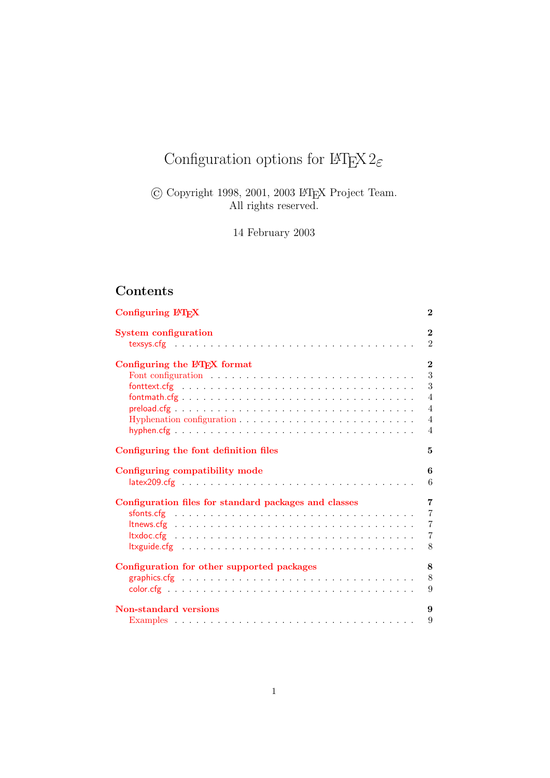# Configuration options for  $\mathbb{H}\mathrm{T}_{\mathrm{E}}\!\mathrm{X}\,2_\varepsilon$

 $\copyright$  Copyright 1998, 2001, 2003 IATEX Project Team. All rights reserved.

14 February 2003

## Contents

| Configuring IATEX                                     | $\overline{2}$ |
|-------------------------------------------------------|----------------|
| <b>System configuration</b>                           | $\overline{2}$ |
|                                                       | $\overline{2}$ |
| Configuring the IATEX format                          | $\overline{2}$ |
|                                                       | 3              |
|                                                       | 3              |
|                                                       | $\overline{4}$ |
|                                                       | $\overline{4}$ |
|                                                       | $\overline{4}$ |
|                                                       | $\overline{4}$ |
| Configuring the font definition files                 | 5              |
| Configuring compatibility mode                        | 6              |
|                                                       | 6              |
| Configuration files for standard packages and classes | 7              |
|                                                       | $\overline{7}$ |
|                                                       | $\overline{7}$ |
|                                                       | $\overline{7}$ |
|                                                       | 8              |
| Configuration for other supported packages            | 8              |
|                                                       | 8              |
|                                                       | 9              |
| <b>Non-standard versions</b>                          | 9              |
|                                                       | 9              |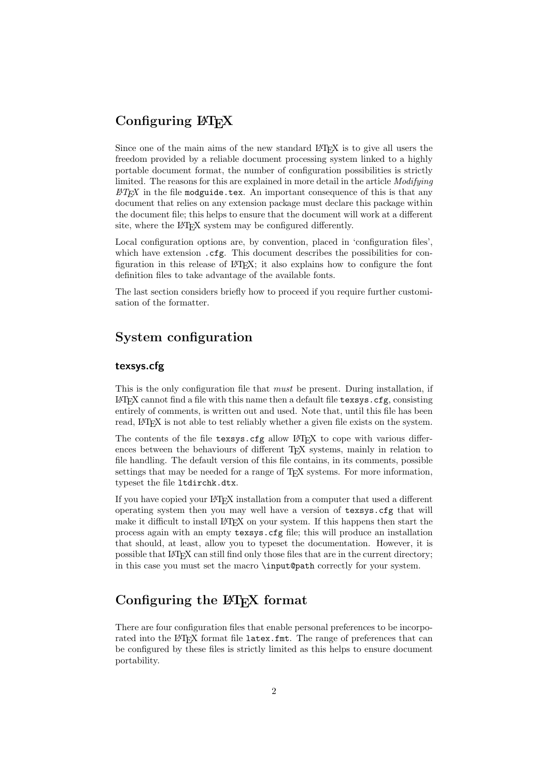## <span id="page-1-0"></span>Configuring LAT<sub>EX</sub>

Since one of the main aims of the new standard LAT<sub>EX</sub> is to give all users the freedom provided by a reliable document processing system linked to a highly portable document format, the number of configuration possibilities is strictly limited. The reasons for this are explained in more detail in the article *Modifying*  $\cancel{B}TEX$  in the file modguide.tex. An important consequence of this is that any document that relies on any extension package must declare this package within the document file; this helps to ensure that the document will work at a different site, where the L<sup>AT</sup>EX system may be configured differently.

Local configuration options are, by convention, placed in 'configuration files', which have extension  $\texttt{.cfg}$ . This document describes the possibilities for configuration in this release of LATEX; it also explains how to configure the font definition files to take advantage of the available fonts.

The last section considers briefly how to proceed if you require further customisation of the formatter.

## <span id="page-1-1"></span>System configuration

### <span id="page-1-2"></span>texsys.cfg

This is the only configuration file that *must* be present. During installation, if  $\LaTeX{} can not find a file with this name then a default file **texsys.cfg**, consisting$ entirely of comments, is written out and used. Note that, until this file has been read, LAT<sub>EX</sub> is not able to test reliably whether a given file exists on the system.

The contents of the file texsys.cfg allow LATEX to cope with various differences between the behaviours of different TEX systems, mainly in relation to file handling. The default version of this file contains, in its comments, possible settings that may be needed for a range of T<sub>E</sub>X systems. For more information, typeset the file ltdirchk.dtx.

If you have copied your LATEX installation from a computer that used a different operating system then you may well have a version of texsys.cfg that will make it difficult to install LAT<sub>EX</sub> on your system. If this happens then start the process again with an empty texsys.cfg file; this will produce an installation that should, at least, allow you to typeset the documentation. However, it is possible that LATEX can still find only those files that are in the current directory; in this case you must set the macro \input@path correctly for your system.

## <span id="page-1-3"></span>Configuring the LAT<sub>EX</sub> format

There are four configuration files that enable personal preferences to be incorporated into the LAT<sub>E</sub>X format file latex.fmt. The range of preferences that can be configured by these files is strictly limited as this helps to ensure document portability.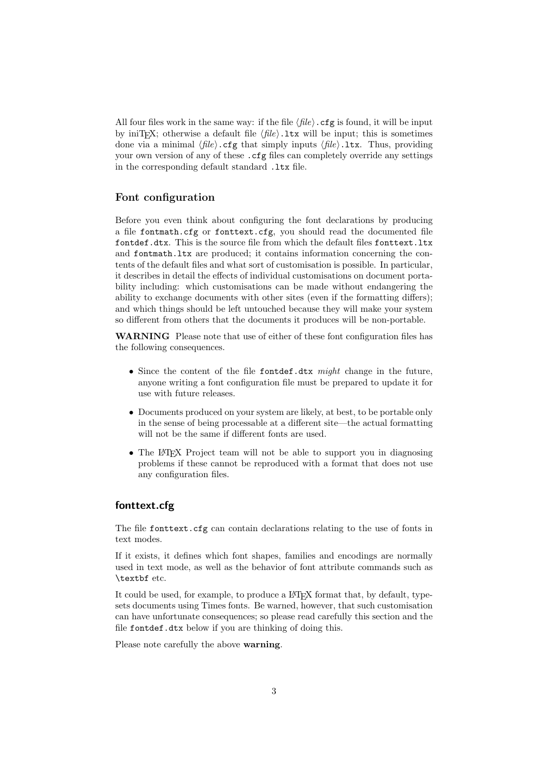All four files work in the same way: if the file  $\langle file \rangle$ .cfg is found, it will be input by iniT<sub>EX</sub>; otherwise a default file  $\langle file \rangle$ . It will be input; this is sometimes done via a minimal  $\langle file \rangle$ .cfg that simply inputs  $\langle file \rangle$ .ltx. Thus, providing your own version of any of these . cfg files can completely override any settings in the corresponding default standard .1tx file.

### <span id="page-2-0"></span>Font configuration

Before you even think about configuring the font declarations by producing a file fontmath.cfg or fonttext.cfg, you should read the documented file fontdef.dtx. This is the source file from which the default files fonttext.ltx and fontmath.ltx are produced; it contains information concerning the contents of the default files and what sort of customisation is possible. In particular, it describes in detail the effects of individual customisations on document portability including: which customisations can be made without endangering the ability to exchange documents with other sites (even if the formatting differs); and which things should be left untouched because they will make your system so different from others that the documents it produces will be non-portable.

WARNING Please note that use of either of these font configuration files has the following consequences.

- Since the content of the file fontdef.dtx might change in the future, anyone writing a font configuration file must be prepared to update it for use with future releases.
- Documents produced on your system are likely, at best, to be portable only in the sense of being processable at a different site—the actual formatting will not be the same if different fonts are used.
- The L<sup>AT</sup>EX Project team will not be able to support you in diagnosing problems if these cannot be reproduced with a format that does not use any configuration files.

## <span id="page-2-1"></span>fonttext.cfg

The file fonttext.cfg can contain declarations relating to the use of fonts in text modes.

If it exists, it defines which font shapes, families and encodings are normally used in text mode, as well as the behavior of font attribute commands such as \textbf etc.

It could be used, for example, to produce a LAT<sub>EX</sub> format that, by default, typesets documents using Times fonts. Be warned, however, that such customisation can have unfortunate consequences; so please read carefully this section and the file fontdef.dtx below if you are thinking of doing this.

Please note carefully the above warning.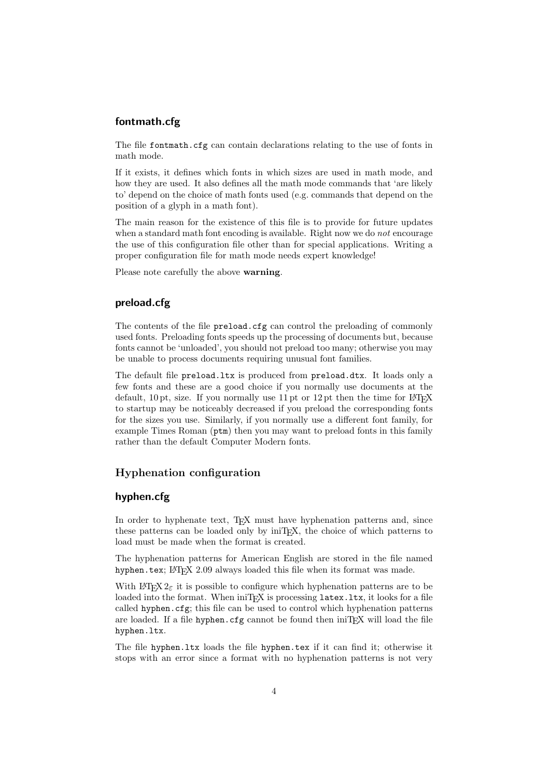#### <span id="page-3-0"></span>fontmath.cfg

The file fontmath.cfg can contain declarations relating to the use of fonts in math mode.

If it exists, it defines which fonts in which sizes are used in math mode, and how they are used. It also defines all the math mode commands that 'are likely to' depend on the choice of math fonts used (e.g. commands that depend on the position of a glyph in a math font).

The main reason for the existence of this file is to provide for future updates when a standard math font encoding is available. Right now we do *not* encourage the use of this configuration file other than for special applications. Writing a proper configuration file for math mode needs expert knowledge!

Please note carefully the above **warning**.

#### <span id="page-3-1"></span>preload.cfg

The contents of the file preload.cfg can control the preloading of commonly used fonts. Preloading fonts speeds up the processing of documents but, because fonts cannot be 'unloaded', you should not preload too many; otherwise you may be unable to process documents requiring unusual font families.

The default file preload.ltx is produced from preload.dtx. It loads only a few fonts and these are a good choice if you normally use documents at the default,  $10 \text{ pt}$ , size. If you normally use  $11 \text{ pt}$  or  $12 \text{ pt}$  then the time for LAT<sub>EX</sub> to startup may be noticeably decreased if you preload the corresponding fonts for the sizes you use. Similarly, if you normally use a different font family, for example Times Roman ( $ptm$ ) then you may want to preload fonts in this family rather than the default Computer Modern fonts.

## <span id="page-3-2"></span>Hyphenation configuration

## <span id="page-3-3"></span>hyphen.cfg

In order to hyphenate text, T<sub>EX</sub> must have hyphenation patterns and, since these patterns can be loaded only by iniTEX, the choice of which patterns to load must be made when the format is created.

The hyphenation patterns for American English are stored in the file named hyphen.tex; LAT<sub>F</sub>X 2.09 always loaded this file when its format was made.

With  $\text{LATEX } 2_{\varepsilon}$  it is possible to configure which hyphenation patterns are to be loaded into the format. When iniT<sub>E</sub>X is processing latex.ltx, it looks for a file called hyphen.cfg; this file can be used to control which hyphenation patterns are loaded. If a file hyphen.cfg cannot be found then iniTEX will load the file hyphen.ltx.

The file hyphen.ltx loads the file hyphen.tex if it can find it; otherwise it stops with an error since a format with no hyphenation patterns is not very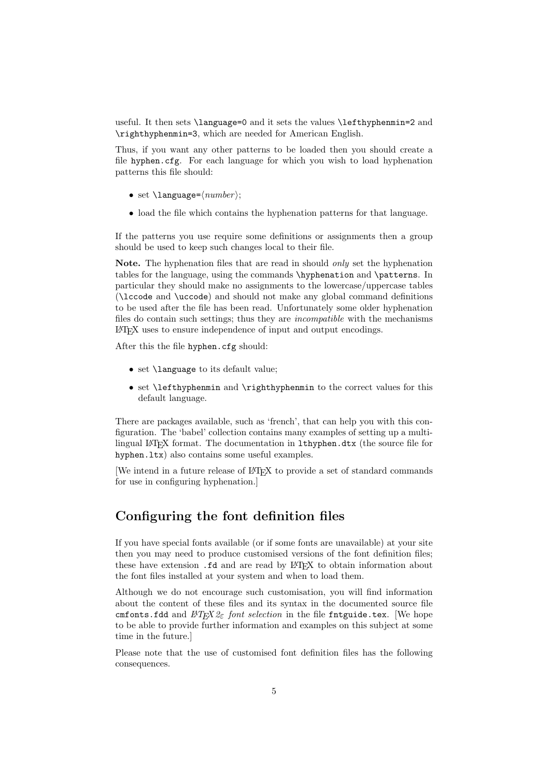useful. It then sets \language=0 and it sets the values \lefthyphenmin=2 and \righthyphenmin=3, which are needed for American English.

Thus, if you want any other patterns to be loaded then you should create a file hyphen.cfg. For each language for which you wish to load hyphenation patterns this file should:

- set  $\langle$ language= $\langle$ number $\rangle$ ;
- load the file which contains the hyphenation patterns for that language.

If the patterns you use require some definitions or assignments then a group should be used to keep such changes local to their file.

Note. The hyphenation files that are read in should *only* set the hyphenation tables for the language, using the commands \hyphenation and \patterns. In particular they should make no assignments to the lowercase/uppercase tables (\lccode and \uccode) and should not make any global command definitions to be used after the file has been read. Unfortunately some older hyphenation files do contain such settings; thus they are incompatible with the mechanisms LATEX uses to ensure independence of input and output encodings.

After this the file hyphen.cfg should:

- set \language to its default value;
- set \lefthyphenmin and \righthyphenmin to the correct values for this default language.

There are packages available, such as 'french', that can help you with this configuration. The 'babel' collection contains many examples of setting up a multilingual LATEX format. The documentation in lthyphen.dtx (the source file for hyphen.ltx) also contains some useful examples.

[We intend in a future release of LAT<sub>EX</sub> to provide a set of standard commands for use in configuring hyphenation.]

## <span id="page-4-0"></span>Configuring the font definition files

If you have special fonts available (or if some fonts are unavailable) at your site then you may need to produce customised versions of the font definition files; these have extension .fd and are read by L<sup>AT</sup>EX to obtain information about the font files installed at your system and when to load them.

Although we do not encourage such customisation, you will find information about the content of these files and its syntax in the documented source file cmfonts.fdd and  $BT_FX2_{\epsilon}$  font selection in the file fintguide.tex. [We hope to be able to provide further information and examples on this subject at some time in the future.]

Please note that the use of customised font definition files has the following consequences.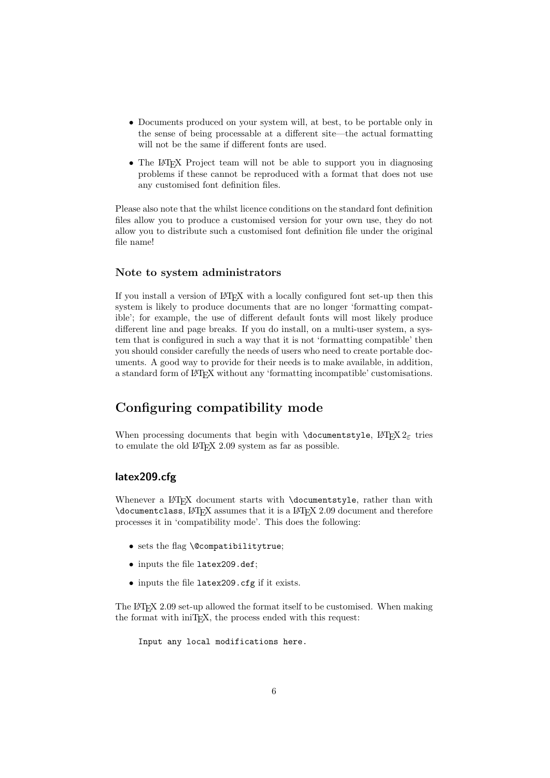- Documents produced on your system will, at best, to be portable only in the sense of being processable at a different site—the actual formatting will not be the same if different fonts are used.
- The LAT<sub>EX</sub> Project team will not be able to support you in diagnosing problems if these cannot be reproduced with a format that does not use any customised font definition files.

Please also note that the whilst licence conditions on the standard font definition files allow you to produce a customised version for your own use, they do not allow you to distribute such a customised font definition file under the original file name!

#### Note to system administrators

If you install a version of LAT<sub>EX</sub> with a locally configured font set-up then this system is likely to produce documents that are no longer 'formatting compatible'; for example, the use of different default fonts will most likely produce different line and page breaks. If you do install, on a multi-user system, a system that is configured in such a way that it is not 'formatting compatible' then you should consider carefully the needs of users who need to create portable documents. A good way to provide for their needs is to make available, in addition, a standard form of LAT<sub>EX</sub> without any 'formatting incompatible' customisations.

## <span id="page-5-0"></span>Configuring compatibility mode

When processing documents that begin with  $\doteq$  documentstyle,  $\mathbb{F} \times \mathbb{Z}_{\epsilon}$  tries to emulate the old  $IATFX$  2.09 system as far as possible.

## <span id="page-5-1"></span>latex209.cfg

Whenever a LAT<sub>F</sub>X document starts with **\documentstyle**, rather than with \documentclass, LATEX assumes that it is a LATEX 2.09 document and therefore processes it in 'compatibility mode'. This does the following:

- sets the flag \@compatibilitytrue;
- inputs the file latex209.def;
- inputs the file latex209.cfg if it exists.

The LATEX 2.09 set-up allowed the format itself to be customised. When making the format with iniTEX, the process ended with this request:

```
Input any local modifications here.
```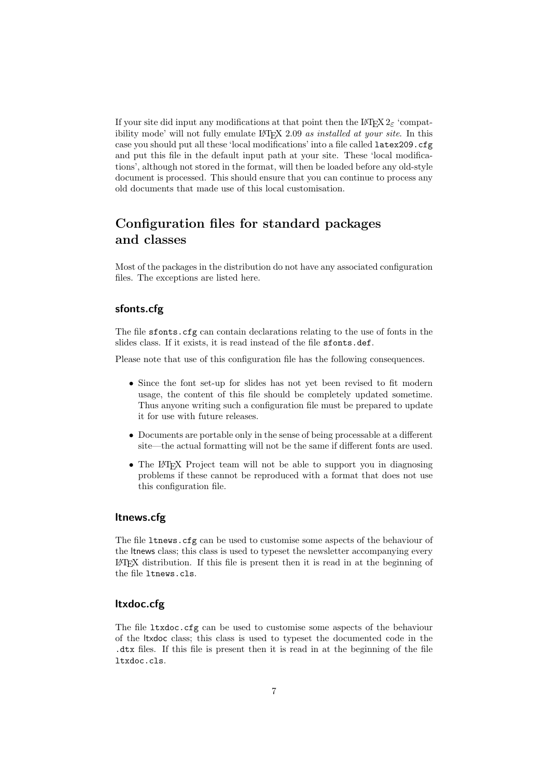If your site did input any modifications at that point then the LAT<sub>E</sub>X  $2\varepsilon$  'compatibility mode' will not fully emulate LAT<sub>E</sub>X 2.09 as installed at your site. In this case you should put all these 'local modifications' into a file called latex209.cfg and put this file in the default input path at your site. These 'local modifications', although not stored in the format, will then be loaded before any old-style document is processed. This should ensure that you can continue to process any old documents that made use of this local customisation.

## <span id="page-6-0"></span>Configuration files for standard packages and classes

Most of the packages in the distribution do not have any associated configuration files. The exceptions are listed here.

## <span id="page-6-1"></span>sfonts.cfg

The file sfonts.cfg can contain declarations relating to the use of fonts in the slides class. If it exists, it is read instead of the file sfonts.def.

Please note that use of this configuration file has the following consequences.

- Since the font set-up for slides has not yet been revised to fit modern usage, the content of this file should be completely updated sometime. Thus anyone writing such a configuration file must be prepared to update it for use with future releases.
- Documents are portable only in the sense of being processable at a different site—the actual formatting will not be the same if different fonts are used.
- The LAT<sub>EX</sub> Project team will not be able to support you in diagnosing problems if these cannot be reproduced with a format that does not use this configuration file.

#### <span id="page-6-2"></span>ltnews.cfg

The file ltnews.cfg can be used to customise some aspects of the behaviour of the ltnews class; this class is used to typeset the newsletter accompanying every LATEX distribution. If this file is present then it is read in at the beginning of the file ltnews.cls.

## <span id="page-6-3"></span>ltxdoc.cfg

The file ltxdoc.cfg can be used to customise some aspects of the behaviour of the ltxdoc class; this class is used to typeset the documented code in the .dtx files. If this file is present then it is read in at the beginning of the file ltxdoc.cls.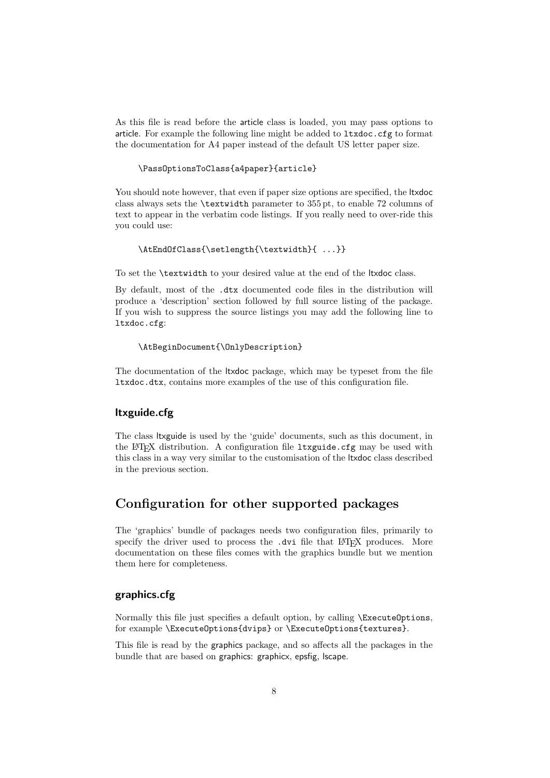As this file is read before the article class is loaded, you may pass options to article. For example the following line might be added to ltxdoc.cfg to format the documentation for A4 paper instead of the default US letter paper size.

### \PassOptionsToClass{a4paper}{article}

You should note however, that even if paper size options are specified, the ltxdoc class always sets the \textwidth parameter to 355 pt, to enable 72 columns of text to appear in the verbatim code listings. If you really need to over-ride this you could use:

#### \AtEndOfClass{\setlength{\textwidth}{ ...}}

To set the \textwidth to your desired value at the end of the ltxdoc class.

By default, most of the .dtx documented code files in the distribution will produce a 'description' section followed by full source listing of the package. If you wish to suppress the source listings you may add the following line to ltxdoc.cfg:

#### \AtBeginDocument{\OnlyDescription}

The documentation of the ltxdoc package, which may be typeset from the file ltxdoc.dtx, contains more examples of the use of this configuration file.

## <span id="page-7-0"></span>ltxguide.cfg

The class ltxguide is used by the 'guide' documents, such as this document, in the LAT<sub>EX</sub> distribution. A configuration file ltxguide.cfg may be used with this class in a way very similar to the customisation of the ltxdoc class described in the previous section.

## <span id="page-7-1"></span>Configuration for other supported packages

The 'graphics' bundle of packages needs two configuration files, primarily to specify the driver used to process the .dvi file that LATEX produces. More documentation on these files comes with the graphics bundle but we mention them here for completeness.

### <span id="page-7-2"></span>graphics.cfg

Normally this file just specifies a default option, by calling \ExecuteOptions, for example \ExecuteOptions{dvips} or \ExecuteOptions{textures}.

This file is read by the graphics package, and so affects all the packages in the bundle that are based on graphics: graphicx, epsfig, lscape.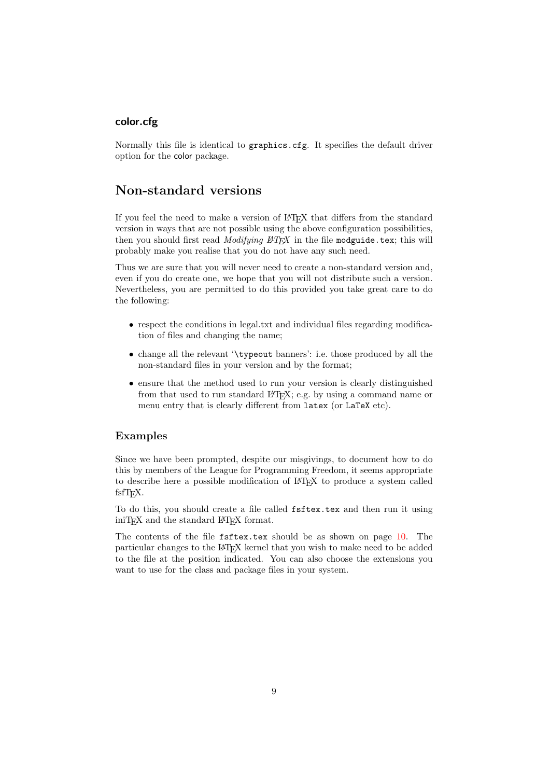## <span id="page-8-0"></span>color.cfg

Normally this file is identical to graphics.cfg. It specifies the default driver option for the color package.

## <span id="page-8-1"></span>Non-standard versions

If you feel the need to make a version of LATEX that differs from the standard version in ways that are not possible using the above configuration possibilities, then you should first read *Modifying*  $BTEX$  in the file modguide.tex; this will probably make you realise that you do not have any such need.

Thus we are sure that you will never need to create a non-standard version and, even if you do create one, we hope that you will not distribute such a version. Nevertheless, you are permitted to do this provided you take great care to do the following:

- respect the conditions in legal.txt and individual files regarding modification of files and changing the name;
- change all the relevant '\typeout banners': i.e. those produced by all the non-standard files in your version and by the format;
- ensure that the method used to run your version is clearly distinguished from that used to run standard L<sup>AT</sup>EX; e.g. by using a command name or menu entry that is clearly different from latex (or LaTeX etc).

### <span id="page-8-2"></span>Examples

Since we have been prompted, despite our misgivings, to document how to do this by members of the League for Programming Freedom, it seems appropriate to describe here a possible modification of LATEX to produce a system called fsfT<sub>EX</sub>.

To do this, you should create a file called fsftex.tex and then run it using iniT<sub>E</sub>X and the standard LAT<sub>E</sub>X format.

The contents of the file fistex.tex should be as shown on page [10.](#page-8-2) The particular changes to the LATEX kernel that you wish to make need to be added to the file at the position indicated. You can also choose the extensions you want to use for the class and package files in your system.